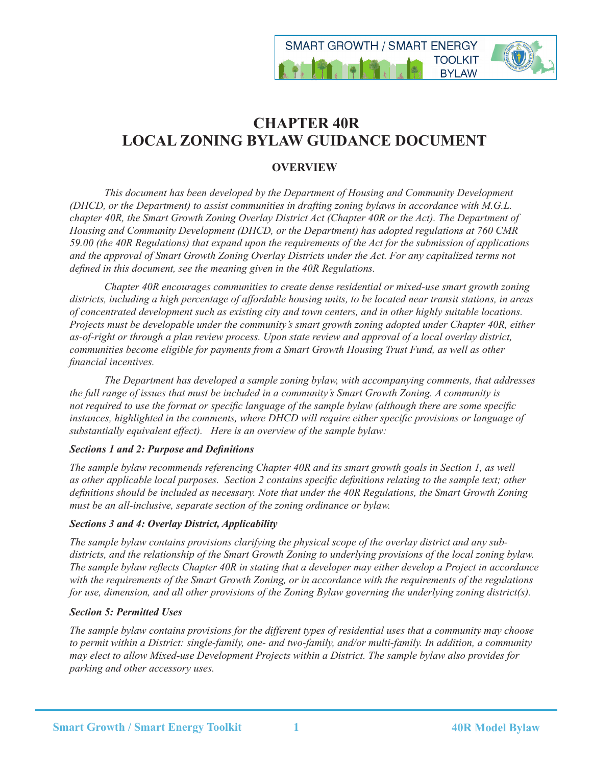

# **CHAPTER 40R LOCAL ZONING BYLAW GUIDANCE DOCUMENT**

# **OVERVIEW**

*This document has been developed by the Department of Housing and Community Development (DHCD, or the Department) to assist communities in drafting zoning bylaws in accordance with M.G.L. chapter 40R, the Smart Growth Zoning Overlay District Act (Chapter 40R or the Act). The Department of Housing and Community Development (DHCD, or the Department) has adopted regulations at 760 CMR 59.00 (the 40R Regulations) that expand upon the requirements of the Act for the submission of applications and the approval of Smart Growth Zoning Overlay Districts under the Act. For any capitalized terms not defined in this document, see the meaning given in the 40R Regulations.*

 *Chapter 40R encourages communities to create dense residential or mixed-use smart growth zoning districts, including a high percentage of affordable housing units, to be located near transit stations, in areas of concentrated development such as existing city and town centers, and in other highly suitable locations. Projects must be developable under the community's smart growth zoning adopted under Chapter 40R, either as-of-right or through a plan review process. Upon state review and approval of a local overlay district, communities become eligible for payments from a Smart Growth Housing Trust Fund, as well as other financial incentives.*

 *The Department has developed a sample zoning bylaw, with accompanying comments, that addresses the full range of issues that must be included in a community's Smart Growth Zoning. A community is not required to use the format or specific language of the sample bylaw (although there are some specific instances, highlighted in the comments, where DHCD will require either specific provisions or language of substantially equivalent effect). Here is an overview of the sample bylaw:*

# *Sections 1 and 2: Purpose and Definitions*

*The sample bylaw recommends referencing Chapter 40R and its smart growth goals in Section 1, as well as other applicable local purposes. Section 2 contains specific definitions relating to the sample text; other definitions should be included as necessary. Note that under the 40R Regulations, the Smart Growth Zoning must be an all-inclusive, separate section of the zoning ordinance or bylaw.*

# *Sections 3 and 4: Overlay District, Applicability*

*The sample bylaw contains provisions clarifying the physical scope of the overlay district and any subdistricts, and the relationship of the Smart Growth Zoning to underlying provisions of the local zoning bylaw. The sample bylaw reflects Chapter 40R in stating that a developer may either develop a Project in accordance with the requirements of the Smart Growth Zoning, or in accordance with the requirements of the regulations for use, dimension, and all other provisions of the Zoning Bylaw governing the underlying zoning district(s).*

# *Section 5: Permitted Uses*

*The sample bylaw contains provisions for the different types of residential uses that a community may choose to permit within a District: single-family, one- and two-family, and/or multi-family. In addition, a community may elect to allow Mixed-use Development Projects within a District. The sample bylaw also provides for parking and other accessory uses.*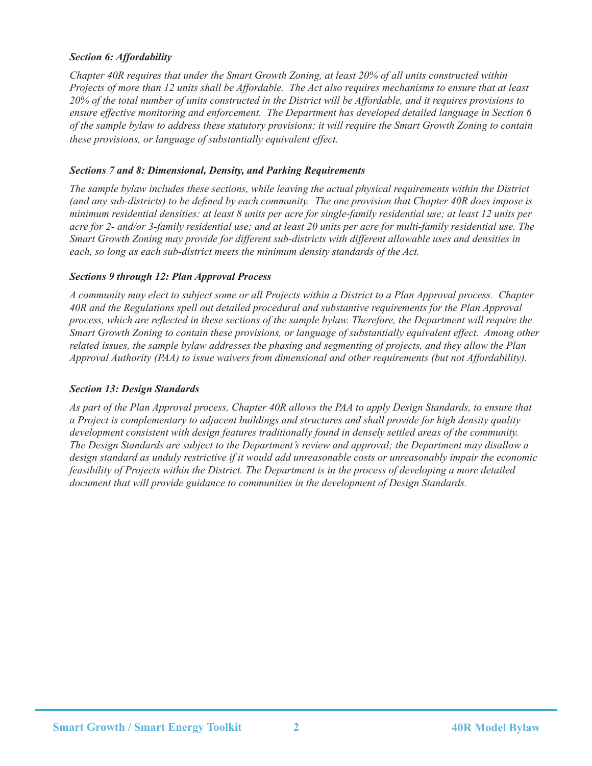# *Section 6: Affordability*

*Chapter 40R requires that under the Smart Growth Zoning, at least 20% of all units constructed within Projects of more than 12 units shall be Affordable. The Act also requires mechanisms to ensure that at least 20% of the total number of units constructed in the District will be Affordable, and it requires provisions to ensure effective monitoring and enforcement. The Department has developed detailed language in Section 6 of the sample bylaw to address these statutory provisions; it will require the Smart Growth Zoning to contain these provisions, or language of substantially equivalent effect.*

## *Sections 7 and 8: Dimensional, Density, and Parking Requirements*

*The sample bylaw includes these sections, while leaving the actual physical requirements within the District (and any sub-districts) to be defined by each community. The one provision that Chapter 40R does impose is minimum residential densities: at least 8 units per acre for single-family residential use; at least 12 units per acre for 2- and/or 3-family residential use; and at least 20 units per acre for multi-family residential use. The Smart Growth Zoning may provide for different sub-districts with different allowable uses and densities in each, so long as each sub-district meets the minimum density standards of the Act.*

#### *Sections 9 through 12: Plan Approval Process*

*A community may elect to subject some or all Projects within a District to a Plan Approval process. Chapter 40R and the Regulations spell out detailed procedural and substantive requirements for the Plan Approval process, which are reflected in these sections of the sample bylaw. Therefore, the Department will require the Smart Growth Zoning to contain these provisions, or language of substantially equivalent effect. Among other related issues, the sample bylaw addresses the phasing and segmenting of projects, and they allow the Plan Approval Authority (PAA) to issue waivers from dimensional and other requirements (but not Affordability).* 

## *Section 13: Design Standards*

*As part of the Plan Approval process, Chapter 40R allows the PAA to apply Design Standards, to ensure that a Project is complementary to adjacent buildings and structures and shall provide for high density quality development consistent with design features traditionally found in densely settled areas of the community. The Design Standards are subject to the Department's review and approval; the Department may disallow a design standard as unduly restrictive if it would add unreasonable costs or unreasonably impair the economic feasibility of Projects within the District. The Department is in the process of developing a more detailed document that will provide guidance to communities in the development of Design Standards.*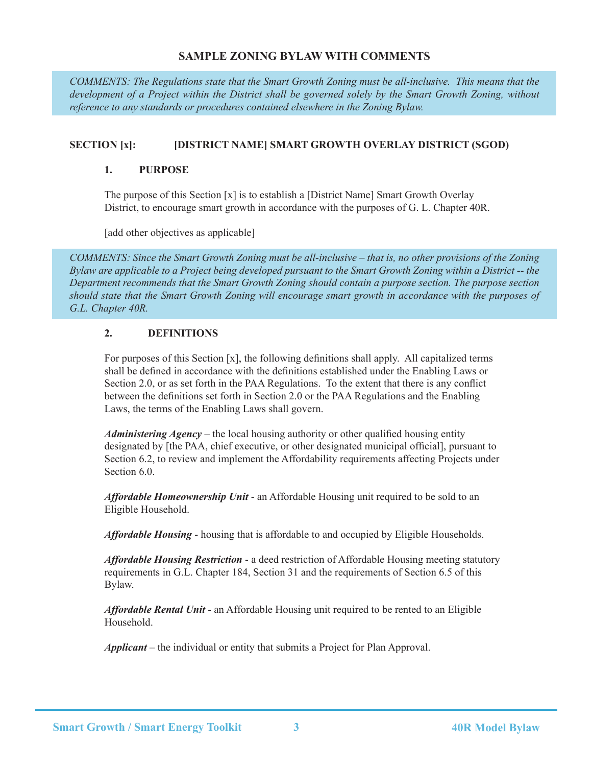# **SAMPLE ZONING BYLAW WITH COMMENTS**

*COMMENTS: The Regulations state that the Smart Growth Zoning must be all-inclusive. This means that the development of a Project within the District shall be governed solely by the Smart Growth Zoning, without reference to any standards or procedures contained elsewhere in the Zoning Bylaw.* 

# **SECTION [x]: [DISTRICT NAME] SMART GROWTH OVERLAY DISTRICT (SGOD)**

#### **1. PURPOSE**

The purpose of this Section [x] is to establish a [District Name] Smart Growth Overlay District, to encourage smart growth in accordance with the purposes of G. L. Chapter 40R.

[add other objectives as applicable]

*COMMENTS: Since the Smart Growth Zoning must be all-inclusive – that is, no other provisions of the Zoning Bylaw are applicable to a Project being developed pursuant to the Smart Growth Zoning within a District -- the Department recommends that the Smart Growth Zoning should contain a purpose section. The purpose section should state that the Smart Growth Zoning will encourage smart growth in accordance with the purposes of G.L. Chapter 40R.*

# **2. DEFINITIONS**

For purposes of this Section [x], the following definitions shall apply. All capitalized terms shall be defined in accordance with the definitions established under the Enabling Laws or Section 2.0, or as set forth in the PAA Regulations. To the extent that there is any conflict between the definitions set forth in Section 2.0 or the PAA Regulations and the Enabling Laws, the terms of the Enabling Laws shall govern.

*Administering Agency* – the local housing authority or other qualified housing entity designated by [the PAA, chief executive, or other designated municipal official], pursuant to Section 6.2, to review and implement the Affordability requirements affecting Projects under Section 6.0.

*Affordable Homeownership Unit* - an Affordable Housing unit required to be sold to an Eligible Household.

*Affordable Housing* - housing that is affordable to and occupied by Eligible Households.

*Affordable Housing Restriction* - a deed restriction of Affordable Housing meeting statutory requirements in G.L. Chapter 184, Section 31 and the requirements of Section 6.5 of this Bylaw.

*Affordable Rental Unit* - an Affordable Housing unit required to be rented to an Eligible Household.

*Applicant* – the individual or entity that submits a Project for Plan Approval.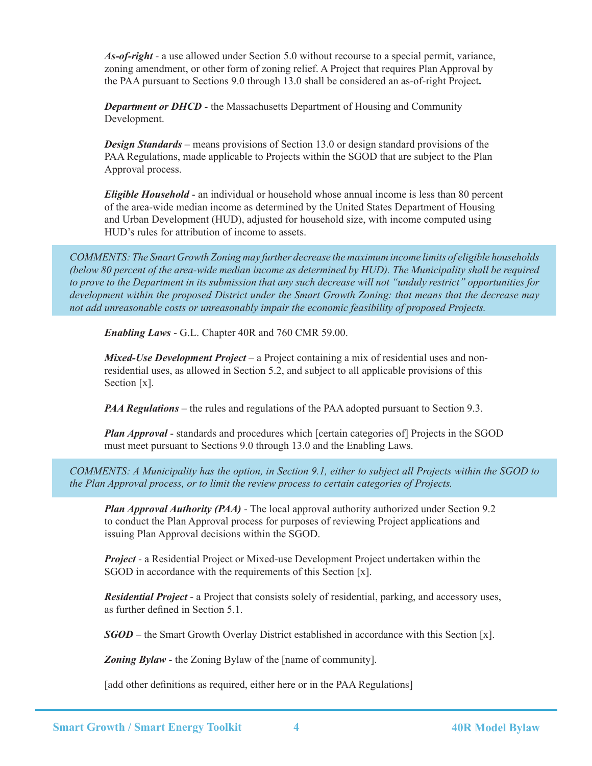*As-of-right* - a use allowed under Section 5.0 without recourse to a special permit, variance, zoning amendment, or other form of zoning relief. A Project that requires Plan Approval by the PAA pursuant to Sections 9.0 through 13.0 shall be considered an as-of-right Project**.**

**Department or DHCD** - the Massachusetts Department of Housing and Community Development.

*Design Standards* – means provisions of Section 13.0 or design standard provisions of the PAA Regulations, made applicable to Projects within the SGOD that are subject to the Plan Approval process.

*Eligible Household* - an individual or household whose annual income is less than 80 percent of the area-wide median income as determined by the United States Department of Housing and Urban Development (HUD), adjusted for household size, with income computed using HUD's rules for attribution of income to assets.

*COMMENTS: The Smart Growth Zoning may further decrease the maximum income limits of eligible households (below 80 percent of the area-wide median income as determined by HUD). The Municipality shall be required to prove to the Department in its submission that any such decrease will not "unduly restrict" opportunities for development within the proposed District under the Smart Growth Zoning: that means that the decrease may not add unreasonable costs or unreasonably impair the economic feasibility of proposed Projects.*

*Enabling Laws* - G.L. Chapter 40R and 760 CMR 59.00.

*Mixed-Use Development Project* – a Project containing a mix of residential uses and nonresidential uses, as allowed in Section 5.2, and subject to all applicable provisions of this Section [x].

*PAA Regulations* – the rules and regulations of the PAA adopted pursuant to Section 9.3.

*Plan Approval* - standards and procedures which [certain categories of] Projects in the SGOD must meet pursuant to Sections 9.0 through 13.0 and the Enabling Laws.

*COMMENTS: A Municipality has the option, in Section 9.1, either to subject all Projects within the SGOD to the Plan Approval process, or to limit the review process to certain categories of Projects.*

*Plan Approval Authority (PAA)* - The local approval authority authorized under Section 9.2 to conduct the Plan Approval process for purposes of reviewing Project applications and issuing Plan Approval decisions within the SGOD.

*Project* - a Residential Project or Mixed-use Development Project undertaken within the SGOD in accordance with the requirements of this Section [x].

*Residential Project* - a Project that consists solely of residential, parking, and accessory uses, as further defined in Section 5.1.

*SGOD* – the Smart Growth Overlay District established in accordance with this Section [x].

**Zoning Bylaw** - the Zoning Bylaw of the [name of community].

[add other definitions as required, either here or in the PAA Regulations]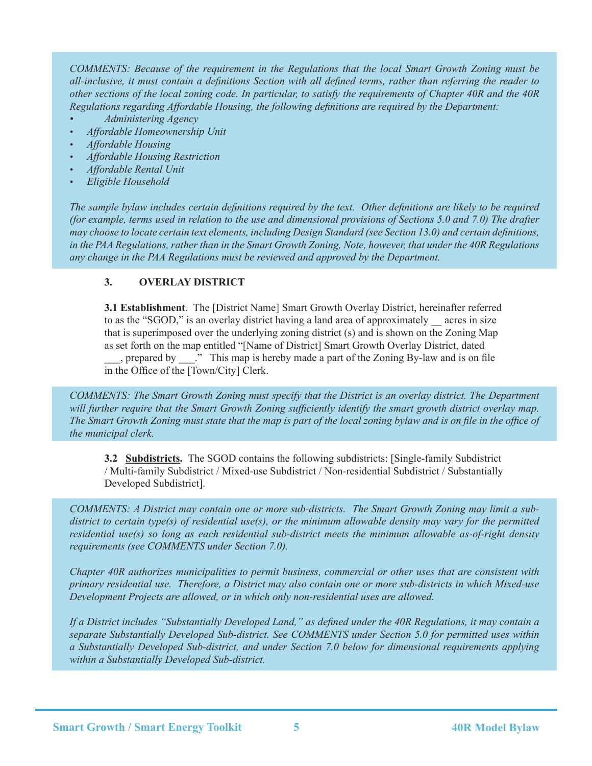*COMMENTS: Because of the requirement in the Regulations that the local Smart Growth Zoning must be all-inclusive, it must contain a definitions Section with all defined terms, rather than referring the reader to other sections of the local zoning code. In particular, to satisfy the requirements of Chapter 40R and the 40R Regulations regarding Affordable Housing, the following definitions are required by the Department:*

- *Administering Agency*
- *Affordable Homeownership Unit*
- *Affordable Housing*
- *Affordable Housing Restriction*
- *Affordable Rental Unit*
- *Eligible Household*

*The sample bylaw includes certain definitions required by the text. Other definitions are likely to be required (for example, terms used in relation to the use and dimensional provisions of Sections 5.0 and 7.0) The drafter may choose to locate certain text elements, including Design Standard (see Section 13.0) and certain definitions, in the PAA Regulations, rather than in the Smart Growth Zoning, Note, however, that under the 40R Regulations any change in the PAA Regulations must be reviewed and approved by the Department.*

# **3. OVERLAY DISTRICT**

**3.1 Establishment**. The [District Name] Smart Growth Overlay District, hereinafter referred to as the "SGOD," is an overlay district having a land area of approximately \_\_ acres in size that is superimposed over the underlying zoning district (s) and is shown on the Zoning Map as set forth on the map entitled "[Name of District] Smart Growth Overlay District, dated \_\_\_, prepared by \_\_\_." This map is hereby made a part of the Zoning By-law and is on file in the Office of the [Town/City] Clerk.

*COMMENTS: The Smart Growth Zoning must specify that the District is an overlay district. The Department*  will further require that the Smart Growth Zoning sufficiently identify the smart growth district overlay map. *The Smart Growth Zoning must state that the map is part of the local zoning bylaw and is on file in the office of the municipal clerk.*

**3.2 Subdistricts.** The SGOD contains the following subdistricts: [Single-family Subdistrict / Multi-family Subdistrict / Mixed-use Subdistrict / Non-residential Subdistrict / Substantially Developed Subdistrict].

*COMMENTS: A District may contain one or more sub-districts. The Smart Growth Zoning may limit a subdistrict to certain type(s) of residential use(s), or the minimum allowable density may vary for the permitted residential use(s) so long as each residential sub-district meets the minimum allowable as-of-right density requirements (see COMMENTS under Section 7.0).* 

*Chapter 40R authorizes municipalities to permit business, commercial or other uses that are consistent with primary residential use. Therefore, a District may also contain one or more sub-districts in which Mixed-use Development Projects are allowed, or in which only non-residential uses are allowed.*

*If a District includes "Substantially Developed Land," as defined under the 40R Regulations, it may contain a separate Substantially Developed Sub-district. See COMMENTS under Section 5.0 for permitted uses within a Substantially Developed Sub-district, and under Section 7.0 below for dimensional requirements applying within a Substantially Developed Sub-district.*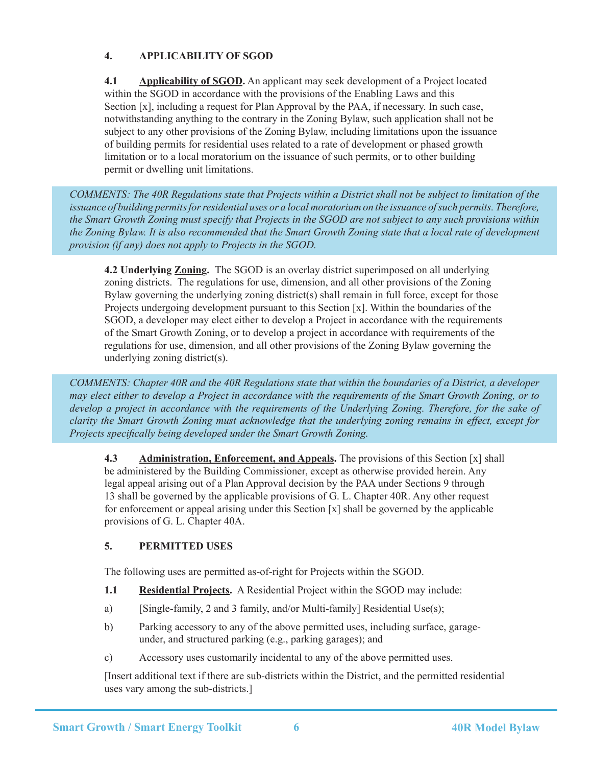# **4. APPLICABILITY OF SGOD**

**4.1 Applicability of SGOD.** An applicant may seek development of a Project located within the SGOD in accordance with the provisions of the Enabling Laws and this Section [x], including a request for Plan Approval by the PAA, if necessary. In such case, notwithstanding anything to the contrary in the Zoning Bylaw, such application shall not be subject to any other provisions of the Zoning Bylaw, including limitations upon the issuance of building permits for residential uses related to a rate of development or phased growth limitation or to a local moratorium on the issuance of such permits, or to other building permit or dwelling unit limitations.

*COMMENTS: The 40R Regulations state that Projects within a District shall not be subject to limitation of the*  issuance of building permits for residential uses or a local moratorium on the issuance of such permits. Therefore, *the Smart Growth Zoning must specify that Projects in the SGOD are not subject to any such provisions within the Zoning Bylaw. It is also recommended that the Smart Growth Zoning state that a local rate of development provision (if any) does not apply to Projects in the SGOD.*

**4.2 Underlying Zoning.** The SGOD is an overlay district superimposed on all underlying zoning districts. The regulations for use, dimension, and all other provisions of the Zoning Bylaw governing the underlying zoning district(s) shall remain in full force, except for those Projects undergoing development pursuant to this Section [x]. Within the boundaries of the SGOD, a developer may elect either to develop a Project in accordance with the requirements of the Smart Growth Zoning, or to develop a project in accordance with requirements of the regulations for use, dimension, and all other provisions of the Zoning Bylaw governing the underlying zoning district(s).

*COMMENTS: Chapter 40R and the 40R Regulations state that within the boundaries of a District, a developer may elect either to develop a Project in accordance with the requirements of the Smart Growth Zoning, or to develop a project in accordance with the requirements of the Underlying Zoning. Therefore, for the sake of clarity the Smart Growth Zoning must acknowledge that the underlying zoning remains in effect, except for Projects specifically being developed under the Smart Growth Zoning.*

**4.3 Administration, Enforcement, and Appeals.** The provisions of this Section [x] shall be administered by the Building Commissioner, except as otherwise provided herein. Any legal appeal arising out of a Plan Approval decision by the PAA under Sections 9 through 13 shall be governed by the applicable provisions of G. L. Chapter 40R. Any other request for enforcement or appeal arising under this Section [x] shall be governed by the applicable provisions of G. L. Chapter 40A.

# **5. PERMITTED USES**

The following uses are permitted as-of-right for Projects within the SGOD.

- **1.1 Residential Projects.** A Residential Project within the SGOD may include:
- a) [Single-family, 2 and 3 family, and/or Multi-family] Residential Use(s);
- b) Parking accessory to any of the above permitted uses, including surface, garageunder, and structured parking (e.g., parking garages); and
- c) Accessory uses customarily incidental to any of the above permitted uses.

[Insert additional text if there are sub-districts within the District, and the permitted residential uses vary among the sub-districts.]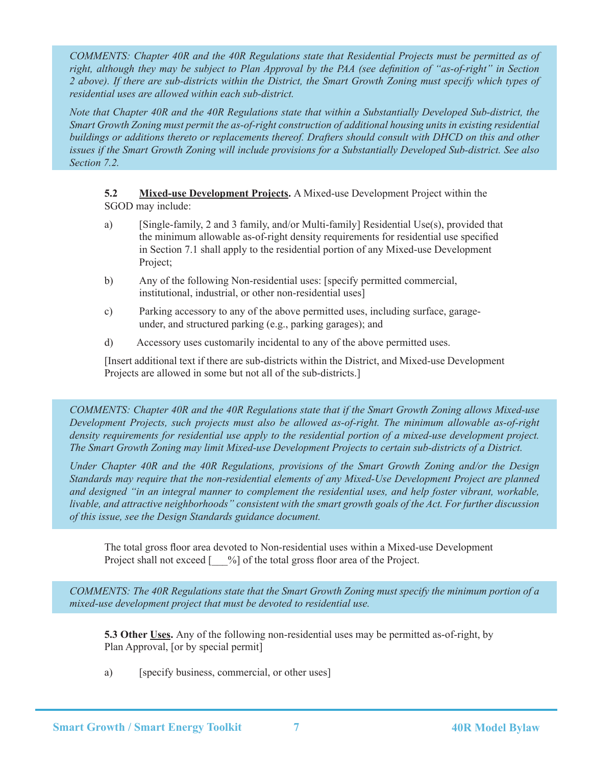*COMMENTS: Chapter 40R and the 40R Regulations state that Residential Projects must be permitted as of right, although they may be subject to Plan Approval by the PAA (see definition of "as-of-right" in Section 2 above). If there are sub-districts within the District, the Smart Growth Zoning must specify which types of residential uses are allowed within each sub-district.* 

*Note that Chapter 40R and the 40R Regulations state that within a Substantially Developed Sub-district, the Smart Growth Zoning must permit the as-of-right construction of additional housing units in existing residential buildings or additions thereto or replacements thereof. Drafters should consult with DHCD on this and other issues if the Smart Growth Zoning will include provisions for a Substantially Developed Sub-district. See also Section 7.2.*

**5.2 Mixed-use Development Projects.** A Mixed-use Development Project within the SGOD may include:

- a) [Single-family, 2 and 3 family, and/or Multi-family] Residential Use(s), provided that the minimum allowable as-of-right density requirements for residential use specified in Section 7.1 shall apply to the residential portion of any Mixed-use Development Project;
- b) Any of the following Non-residential uses: [specify permitted commercial, institutional, industrial, or other non-residential uses]
- c) Parking accessory to any of the above permitted uses, including surface, garageunder, and structured parking (e.g., parking garages); and
- d) Accessory uses customarily incidental to any of the above permitted uses.

[Insert additional text if there are sub-districts within the District, and Mixed-use Development Projects are allowed in some but not all of the sub-districts.]

*COMMENTS: Chapter 40R and the 40R Regulations state that if the Smart Growth Zoning allows Mixed-use Development Projects, such projects must also be allowed as-of-right. The minimum allowable as-of-right density requirements for residential use apply to the residential portion of a mixed-use development project. The Smart Growth Zoning may limit Mixed-use Development Projects to certain sub-districts of a District.*

*Under Chapter 40R and the 40R Regulations, provisions of the Smart Growth Zoning and/or the Design Standards may require that the non-residential elements of any Mixed-Use Development Project are planned and designed "in an integral manner to complement the residential uses, and help foster vibrant, workable, livable, and attractive neighborhoods" consistent with the smart growth goals of the Act. For further discussion of this issue, see the Design Standards guidance document.* 

The total gross floor area devoted to Non-residential uses within a Mixed-use Development Project shall not exceed [ $\frac{\%}{\%}$ ] of the total gross floor area of the Project.

*COMMENTS: The 40R Regulations state that the Smart Growth Zoning must specify the minimum portion of a mixed-use development project that must be devoted to residential use.*

**5.3 Other Uses.** Any of the following non-residential uses may be permitted as-of-right, by Plan Approval, [or by special permit]

a) [specify business, commercial, or other uses]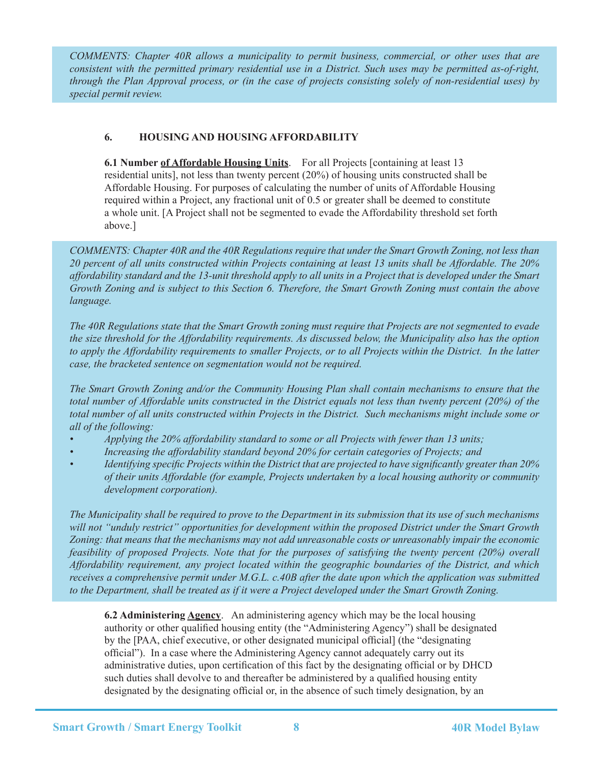*COMMENTS: Chapter 40R allows a municipality to permit business, commercial, or other uses that are consistent with the permitted primary residential use in a District. Such uses may be permitted as-of-right, through the Plan Approval process, or (in the case of projects consisting solely of non-residential uses) by special permit review.*

# **6. HOUSING AND HOUSING AFFORDABILITY**

**6.1 Number of Affordable Housing Units**. For all Projects [containing at least 13 residential units], not less than twenty percent (20%) of housing units constructed shall be Affordable Housing. For purposes of calculating the number of units of Affordable Housing required within a Project, any fractional unit of 0.5 or greater shall be deemed to constitute a whole unit. [A Project shall not be segmented to evade the Affordability threshold set forth above.]

*COMMENTS: Chapter 40R and the 40R Regulations require that under the Smart Growth Zoning, not less than 20 percent of all units constructed within Projects containing at least 13 units shall be Affordable. The 20% affordability standard and the 13-unit threshold apply to all units in a Project that is developed under the Smart Growth Zoning and is subject to this Section 6. Therefore, the Smart Growth Zoning must contain the above language.* 

*The 40R Regulations state that the Smart Growth zoning must require that Projects are not segmented to evade the size threshold for the Affordability requirements. As discussed below, the Municipality also has the option to apply the Affordability requirements to smaller Projects, or to all Projects within the District. In the latter case, the bracketed sentence on segmentation would not be required.*

*The Smart Growth Zoning and/or the Community Housing Plan shall contain mechanisms to ensure that the total number of Affordable units constructed in the District equals not less than twenty percent (20%) of the total number of all units constructed within Projects in the District. Such mechanisms might include some or all of the following:*

- *Applying the 20% affordability standard to some or all Projects with fewer than 13 units;*
- *Increasing the affordability standard beyond 20% for certain categories of Projects; and*
- *Identifying specific Projects within the District that are projected to have significantly greater than 20% of their units Affordable (for example, Projects undertaken by a local housing authority or community development corporation).*

*The Municipality shall be required to prove to the Department in its submission that its use of such mechanisms will not "unduly restrict" opportunities for development within the proposed District under the Smart Growth Zoning: that means that the mechanisms may not add unreasonable costs or unreasonably impair the economic feasibility of proposed Projects. Note that for the purposes of satisfying the twenty percent (20%) overall Affordability requirement, any project located within the geographic boundaries of the District, and which receives a comprehensive permit under M.G.L. c.40B after the date upon which the application was submitted to the Department, shall be treated as if it were a Project developed under the Smart Growth Zoning.*

**6.2 Administering Agency**. An administering agency which may be the local housing authority or other qualified housing entity (the "Administering Agency") shall be designated by the [PAA, chief executive, or other designated municipal official] (the "designating official"). In a case where the Administering Agency cannot adequately carry out its administrative duties, upon certification of this fact by the designating official or by DHCD such duties shall devolve to and thereafter be administered by a qualified housing entity designated by the designating official or, in the absence of such timely designation, by an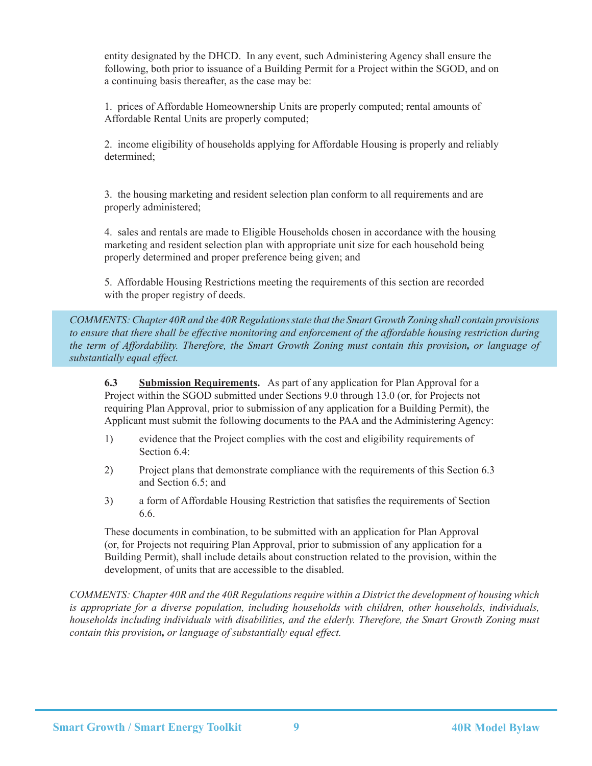entity designated by the DHCD. In any event, such Administering Agency shall ensure the following, both prior to issuance of a Building Permit for a Project within the SGOD, and on a continuing basis thereafter, as the case may be:

 1. prices of Affordable Homeownership Units are properly computed; rental amounts of Affordable Rental Units are properly computed;

 2. income eligibility of households applying for Affordable Housing is properly and reliably determined;

 3. the housing marketing and resident selection plan conform to all requirements and are properly administered;

 4. sales and rentals are made to Eligible Households chosen in accordance with the housing marketing and resident selection plan with appropriate unit size for each household being properly determined and proper preference being given; and

5. Affordable Housing Restrictions meeting the requirements of this section are recorded with the proper registry of deeds.

*COMMENTS: Chapter 40R and the 40R Regulations state that the Smart Growth Zoning shall contain provisions to ensure that there shall be effective monitoring and enforcement of the affordable housing restriction during the term of Affordability. Therefore, the Smart Growth Zoning must contain this provision, or language of substantially equal effect.*

**6.3 Submission Requirements.** As part of any application for Plan Approval for a Project within the SGOD submitted under Sections 9.0 through 13.0 (or, for Projects not requiring Plan Approval, prior to submission of any application for a Building Permit), the Applicant must submit the following documents to the PAA and the Administering Agency:

- 1) evidence that the Project complies with the cost and eligibility requirements of Section 6.4:
- 2) Project plans that demonstrate compliance with the requirements of this Section 6.3 and Section 6.5; and
- 3) a form of Affordable Housing Restriction that satisfies the requirements of Section 6.6.

These documents in combination, to be submitted with an application for Plan Approval (or, for Projects not requiring Plan Approval, prior to submission of any application for a Building Permit), shall include details about construction related to the provision, within the development, of units that are accessible to the disabled.

*COMMENTS: Chapter 40R and the 40R Regulations require within a District the development of housing which is appropriate for a diverse population, including households with children, other households, individuals, households including individuals with disabilities, and the elderly. Therefore, the Smart Growth Zoning must contain this provision, or language of substantially equal effect.*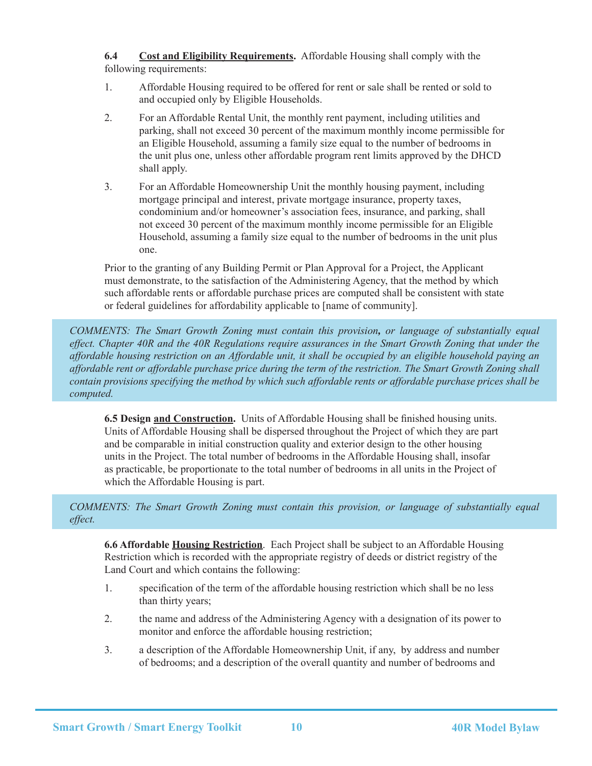**6.4 Cost and Eligibility Requirements.** Affordable Housing shall comply with the following requirements:

- 1. Affordable Housing required to be offered for rent or sale shall be rented or sold to and occupied only by Eligible Households.
- 2. For an Affordable Rental Unit, the monthly rent payment, including utilities and parking, shall not exceed 30 percent of the maximum monthly income permissible for an Eligible Household, assuming a family size equal to the number of bedrooms in the unit plus one, unless other affordable program rent limits approved by the DHCD shall apply.
- 3. For an Affordable Homeownership Unit the monthly housing payment, including mortgage principal and interest, private mortgage insurance, property taxes, condominium and/or homeowner's association fees, insurance, and parking, shall not exceed 30 percent of the maximum monthly income permissible for an Eligible Household, assuming a family size equal to the number of bedrooms in the unit plus one.

Prior to the granting of any Building Permit or Plan Approval for a Project, the Applicant must demonstrate, to the satisfaction of the Administering Agency, that the method by which such affordable rents or affordable purchase prices are computed shall be consistent with state or federal guidelines for affordability applicable to [name of community].

*COMMENTS: The Smart Growth Zoning must contain this provision, or language of substantially equal effect. Chapter 40R and the 40R Regulations require assurances in the Smart Growth Zoning that under the affordable housing restriction on an Affordable unit, it shall be occupied by an eligible household paying an affordable rent or affordable purchase price during the term of the restriction. The Smart Growth Zoning shall contain provisions specifying the method by which such affordable rents or affordable purchase prices shall be computed.*

**6.5 Design and Construction.** Units of Affordable Housing shall be finished housing units. Units of Affordable Housing shall be dispersed throughout the Project of which they are part and be comparable in initial construction quality and exterior design to the other housing units in the Project. The total number of bedrooms in the Affordable Housing shall, insofar as practicable, be proportionate to the total number of bedrooms in all units in the Project of which the Affordable Housing is part.

#### *COMMENTS: The Smart Growth Zoning must contain this provision, or language of substantially equal effect.*

**6.6 Affordable Housing Restriction**. Each Project shall be subject to an Affordable Housing Restriction which is recorded with the appropriate registry of deeds or district registry of the Land Court and which contains the following:

- 1. specification of the term of the affordable housing restriction which shall be no less than thirty years;
- 2. the name and address of the Administering Agency with a designation of its power to monitor and enforce the affordable housing restriction;
- 3. a description of the Affordable Homeownership Unit, if any, by address and number of bedrooms; and a description of the overall quantity and number of bedrooms and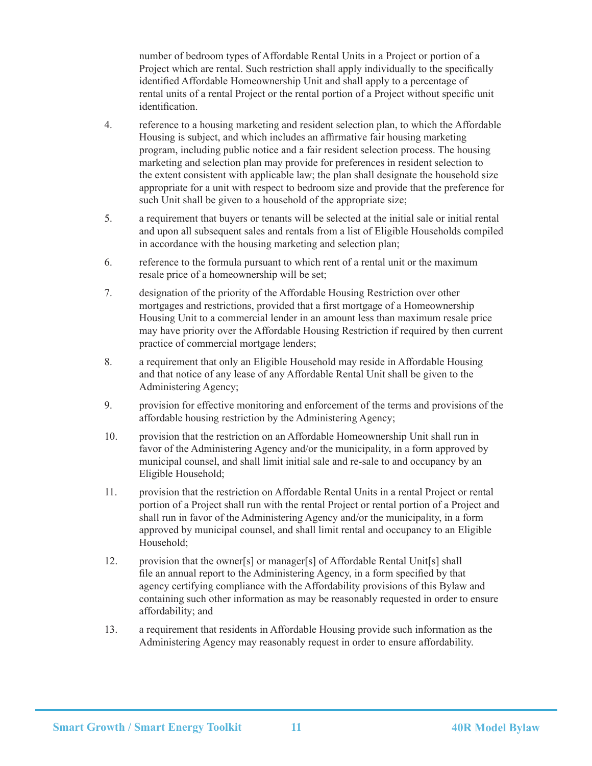number of bedroom types of Affordable Rental Units in a Project or portion of a Project which are rental. Such restriction shall apply individually to the specifically identified Affordable Homeownership Unit and shall apply to a percentage of rental units of a rental Project or the rental portion of a Project without specific unit identification.

- 4. reference to a housing marketing and resident selection plan, to which the Affordable Housing is subject, and which includes an affirmative fair housing marketing program, including public notice and a fair resident selection process. The housing marketing and selection plan may provide for preferences in resident selection to the extent consistent with applicable law; the plan shall designate the household size appropriate for a unit with respect to bedroom size and provide that the preference for such Unit shall be given to a household of the appropriate size;
- 5. a requirement that buyers or tenants will be selected at the initial sale or initial rental and upon all subsequent sales and rentals from a list of Eligible Households compiled in accordance with the housing marketing and selection plan;
- 6. reference to the formula pursuant to which rent of a rental unit or the maximum resale price of a homeownership will be set;
- 7. designation of the priority of the Affordable Housing Restriction over other mortgages and restrictions, provided that a first mortgage of a Homeownership Housing Unit to a commercial lender in an amount less than maximum resale price may have priority over the Affordable Housing Restriction if required by then current practice of commercial mortgage lenders;
- 8. a requirement that only an Eligible Household may reside in Affordable Housing and that notice of any lease of any Affordable Rental Unit shall be given to the Administering Agency;
- 9. provision for effective monitoring and enforcement of the terms and provisions of the affordable housing restriction by the Administering Agency;
- 10. provision that the restriction on an Affordable Homeownership Unit shall run in favor of the Administering Agency and/or the municipality, in a form approved by municipal counsel, and shall limit initial sale and re-sale to and occupancy by an Eligible Household;
- 11. provision that the restriction on Affordable Rental Units in a rental Project or rental portion of a Project shall run with the rental Project or rental portion of a Project and shall run in favor of the Administering Agency and/or the municipality, in a form approved by municipal counsel, and shall limit rental and occupancy to an Eligible Household;
- 12. provision that the owner[s] or manager[s] of Affordable Rental Unit[s] shall file an annual report to the Administering Agency, in a form specified by that agency certifying compliance with the Affordability provisions of this Bylaw and containing such other information as may be reasonably requested in order to ensure affordability; and
- 13. a requirement that residents in Affordable Housing provide such information as the Administering Agency may reasonably request in order to ensure affordability.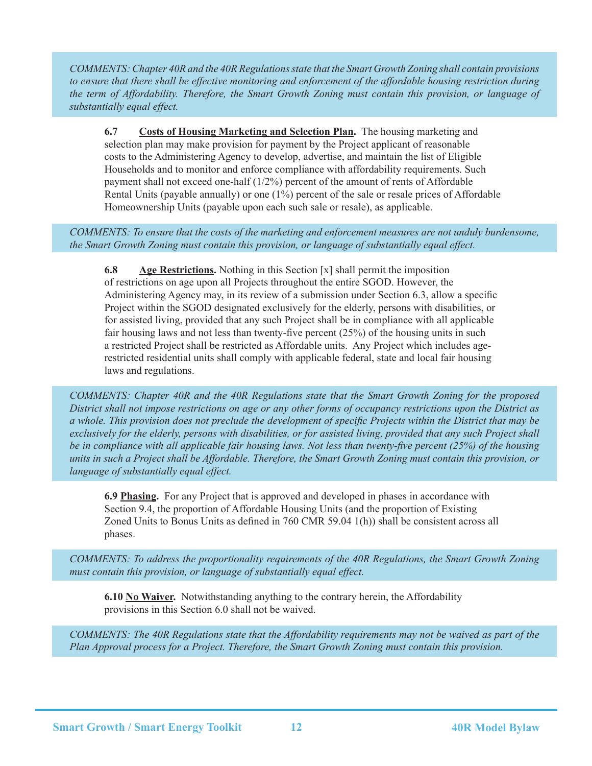*COMMENTS: Chapter 40R and the 40R Regulations state that the Smart Growth Zoning shall contain provisions to ensure that there shall be effective monitoring and enforcement of the affordable housing restriction during the term of Affordability. Therefore, the Smart Growth Zoning must contain this provision, or language of substantially equal effect.*

**6.7 Costs of Housing Marketing and Selection Plan.** The housing marketing and selection plan may make provision for payment by the Project applicant of reasonable costs to the Administering Agency to develop, advertise, and maintain the list of Eligible Households and to monitor and enforce compliance with affordability requirements. Such payment shall not exceed one-half (1/2%) percent of the amount of rents of Affordable Rental Units (payable annually) or one (1%) percent of the sale or resale prices of Affordable Homeownership Units (payable upon each such sale or resale), as applicable.

*COMMENTS: To ensure that the costs of the marketing and enforcement measures are not unduly burdensome, the Smart Growth Zoning must contain this provision, or language of substantially equal effect.*

**6.8 Age Restrictions.** Nothing in this Section [x] shall permit the imposition of restrictions on age upon all Projects throughout the entire SGOD. However, the Administering Agency may, in its review of a submission under Section 6.3, allow a specific Project within the SGOD designated exclusively for the elderly, persons with disabilities, or for assisted living, provided that any such Project shall be in compliance with all applicable fair housing laws and not less than twenty-five percent (25%) of the housing units in such a restricted Project shall be restricted as Affordable units. Any Project which includes agerestricted residential units shall comply with applicable federal, state and local fair housing laws and regulations.

*COMMENTS: Chapter 40R and the 40R Regulations state that the Smart Growth Zoning for the proposed District shall not impose restrictions on age or any other forms of occupancy restrictions upon the District as a whole. This provision does not preclude the development of specific Projects within the District that may be exclusively for the elderly, persons with disabilities, or for assisted living, provided that any such Project shall be in compliance with all applicable fair housing laws. Not less than twenty-five percent (25%) of the housing units in such a Project shall be Affordable. Therefore, the Smart Growth Zoning must contain this provision, or language of substantially equal effect.* 

**6.9 Phasing.** For any Project that is approved and developed in phases in accordance with Section 9.4, the proportion of Affordable Housing Units (and the proportion of Existing Zoned Units to Bonus Units as defined in 760 CMR 59.04 1(h)) shall be consistent across all phases.

*COMMENTS: To address the proportionality requirements of the 40R Regulations, the Smart Growth Zoning must contain this provision, or language of substantially equal effect.*

**6.10 No Waiver.** Notwithstanding anything to the contrary herein, the Affordability provisions in this Section 6.0 shall not be waived.

*COMMENTS: The 40R Regulations state that the Affordability requirements may not be waived as part of the Plan Approval process for a Project. Therefore, the Smart Growth Zoning must contain this provision.*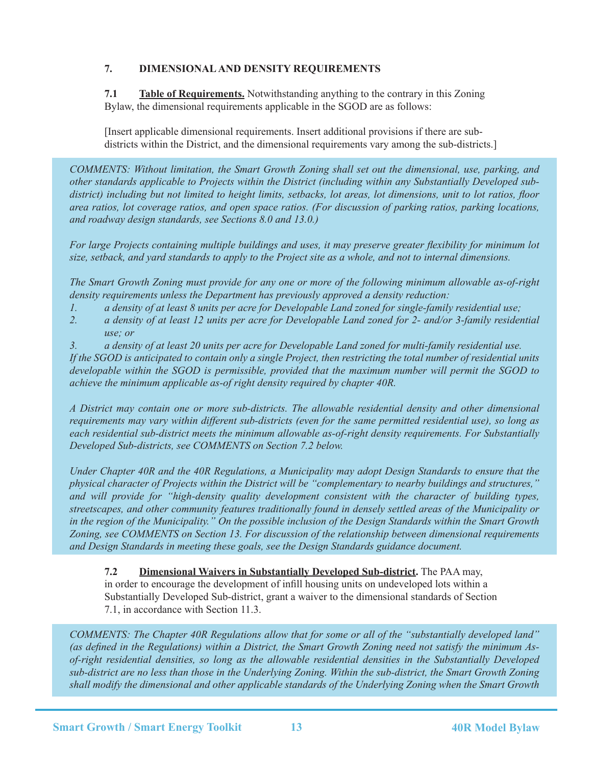# **7. DIMENSIONAL AND DENSITY REQUIREMENTS**

**7.1 Table of Requirements.** Notwithstanding anything to the contrary in this Zoning Bylaw, the dimensional requirements applicable in the SGOD are as follows:

[Insert applicable dimensional requirements. Insert additional provisions if there are subdistricts within the District, and the dimensional requirements vary among the sub-districts.]

*COMMENTS: Without limitation, the Smart Growth Zoning shall set out the dimensional, use, parking, and other standards applicable to Projects within the District (including within any Substantially Developed subdistrict) including but not limited to height limits, setbacks, lot areas, lot dimensions, unit to lot ratios, floor area ratios, lot coverage ratios, and open space ratios. (For discussion of parking ratios, parking locations, and roadway design standards, see Sections 8.0 and 13.0.)* 

*For large Projects containing multiple buildings and uses, it may preserve greater flexibility for minimum lot size, setback, and yard standards to apply to the Project site as a whole, and not to internal dimensions.* 

*The Smart Growth Zoning must provide for any one or more of the following minimum allowable as-of-right density requirements unless the Department has previously approved a density reduction:*

- *1. a density of at least 8 units per acre for Developable Land zoned for single-family residential use;*
- *2. a density of at least 12 units per acre for Developable Land zoned for 2- and/or 3-family residential use; or*
- *3. a density of at least 20 units per acre for Developable Land zoned for multi-family residential use.*

*If the SGOD is anticipated to contain only a single Project, then restricting the total number of residential units developable within the SGOD is permissible, provided that the maximum number will permit the SGOD to achieve the minimum applicable as-of right density required by chapter 40R.* 

*A District may contain one or more sub-districts. The allowable residential density and other dimensional requirements may vary within different sub-districts (even for the same permitted residential use), so long as each residential sub-district meets the minimum allowable as-of-right density requirements. For Substantially Developed Sub-districts, see COMMENTS on Section 7.2 below.*

*Under Chapter 40R and the 40R Regulations, a Municipality may adopt Design Standards to ensure that the physical character of Projects within the District will be "complementary to nearby buildings and structures," and will provide for "high-density quality development consistent with the character of building types, streetscapes, and other community features traditionally found in densely settled areas of the Municipality or in the region of the Municipality." On the possible inclusion of the Design Standards within the Smart Growth Zoning, see COMMENTS on Section 13. For discussion of the relationship between dimensional requirements and Design Standards in meeting these goals, see the Design Standards guidance document.* 

# **7.2 Dimensional Waivers in Substantially Developed Sub-district.** The PAA may, in order to encourage the development of infill housing units on undeveloped lots within a Substantially Developed Sub-district, grant a waiver to the dimensional standards of Section 7.1, in accordance with Section 11.3.

*COMMENTS: The Chapter 40R Regulations allow that for some or all of the "substantially developed land" (as defined in the Regulations) within a District, the Smart Growth Zoning need not satisfy the minimum Asof-right residential densities, so long as the allowable residential densities in the Substantially Developed sub-district are no less than those in the Underlying Zoning. Within the sub-district, the Smart Growth Zoning shall modify the dimensional and other applicable standards of the Underlying Zoning when the Smart Growth*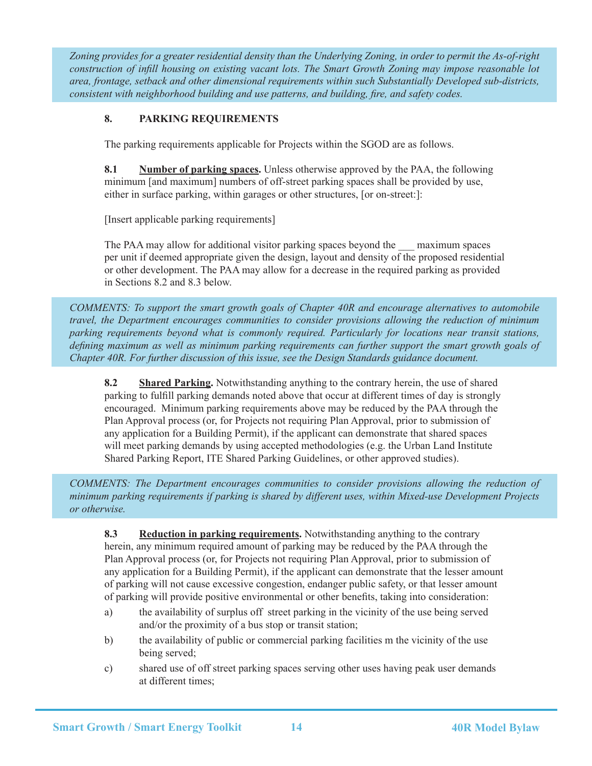*Zoning provides for a greater residential density than the Underlying Zoning, in order to permit the As-of-right construction of infill housing on existing vacant lots. The Smart Growth Zoning may impose reasonable lot area, frontage, setback and other dimensional requirements within such Substantially Developed sub-districts, consistent with neighborhood building and use patterns, and building, fire, and safety codes.*

# **8. PARKING REQUIREMENTS**

The parking requirements applicable for Projects within the SGOD are as follows.

**8.1** Number of parking spaces. Unless otherwise approved by the PAA, the following minimum [and maximum] numbers of off-street parking spaces shall be provided by use, either in surface parking, within garages or other structures, [or on-street:]:

[Insert applicable parking requirements]

The PAA may allow for additional visitor parking spaces beyond the \_\_\_ maximum spaces per unit if deemed appropriate given the design, layout and density of the proposed residential or other development. The PAA may allow for a decrease in the required parking as provided in Sections 8.2 and 8.3 below.

*COMMENTS: To support the smart growth goals of Chapter 40R and encourage alternatives to automobile travel, the Department encourages communities to consider provisions allowing the reduction of minimum parking requirements beyond what is commonly required. Particularly for locations near transit stations, defining maximum as well as minimum parking requirements can further support the smart growth goals of Chapter 40R. For further discussion of this issue, see the Design Standards guidance document.*

**8.2** Shared Parking. Notwithstanding anything to the contrary herein, the use of shared parking to fulfill parking demands noted above that occur at different times of day is strongly encouraged. Minimum parking requirements above may be reduced by the PAA through the Plan Approval process (or, for Projects not requiring Plan Approval, prior to submission of any application for a Building Permit), if the applicant can demonstrate that shared spaces will meet parking demands by using accepted methodologies (e.g. the Urban Land Institute Shared Parking Report, ITE Shared Parking Guidelines, or other approved studies).

*COMMENTS: The Department encourages communities to consider provisions allowing the reduction of minimum parking requirements if parking is shared by different uses, within Mixed-use Development Projects or otherwise.*

**8.3** Reduction in parking requirements. Notwithstanding anything to the contrary herein, any minimum required amount of parking may be reduced by the PAA through the Plan Approval process (or, for Projects not requiring Plan Approval, prior to submission of any application for a Building Permit), if the applicant can demonstrate that the lesser amount of parking will not cause excessive congestion, endanger public safety, or that lesser amount of parking will provide positive environmental or other benefits, taking into consideration:

- a) the availability of surplus off street parking in the vicinity of the use being served and/or the proximity of a bus stop or transit station;
- b) the availability of public or commercial parking facilities m the vicinity of the use being served;
- c) shared use of off street parking spaces serving other uses having peak user demands at different times;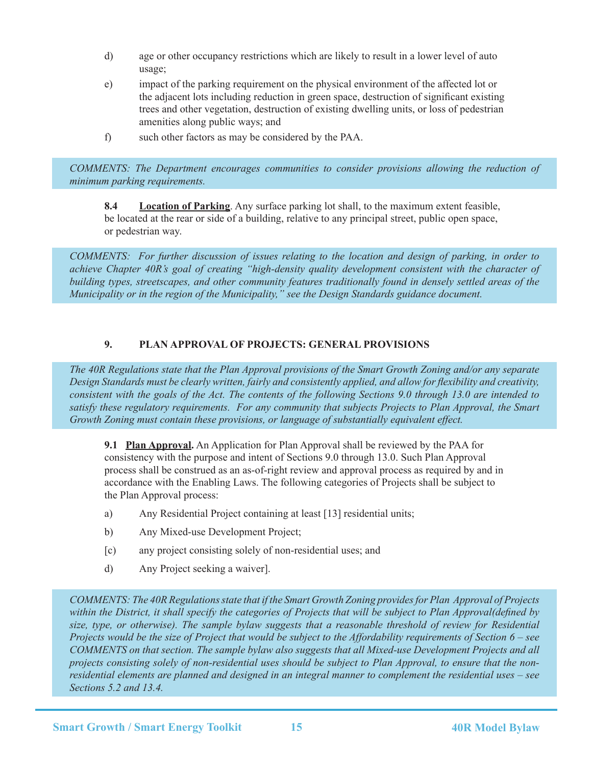- d) age or other occupancy restrictions which are likely to result in a lower level of auto usage;
- e) impact of the parking requirement on the physical environment of the affected lot or the adjacent lots including reduction in green space, destruction of significant existing trees and other vegetation, destruction of existing dwelling units, or loss of pedestrian amenities along public ways; and
- f) such other factors as may be considered by the PAA.

*COMMENTS: The Department encourages communities to consider provisions allowing the reduction of minimum parking requirements.*

**8.4 Location of Parking**. Any surface parking lot shall, to the maximum extent feasible, be located at the rear or side of a building, relative to any principal street, public open space, or pedestrian way.

*COMMENTS: For further discussion of issues relating to the location and design of parking, in order to achieve Chapter 40R's goal of creating "high-density quality development consistent with the character of building types, streetscapes, and other community features traditionally found in densely settled areas of the Municipality or in the region of the Municipality," see the Design Standards guidance document.* 

#### **9. PLAN APPROVAL OF PROJECTS: GENERAL PROVISIONS**

*The 40R Regulations state that the Plan Approval provisions of the Smart Growth Zoning and/or any separate Design Standards must be clearly written, fairly and consistently applied, and allow for flexibility and creativity, consistent with the goals of the Act. The contents of the following Sections 9.0 through 13.0 are intended to satisfy these regulatory requirements. For any community that subjects Projects to Plan Approval, the Smart Growth Zoning must contain these provisions, or language of substantially equivalent effect.*

**9.1 Plan Approval.** An Application for Plan Approval shall be reviewed by the PAA for consistency with the purpose and intent of Sections 9.0 through 13.0. Such Plan Approval process shall be construed as an as-of-right review and approval process as required by and in accordance with the Enabling Laws. The following categories of Projects shall be subject to the Plan Approval process:

- a) Any Residential Project containing at least [13] residential units;
- b) Any Mixed-use Development Project;
- [c) any project consisting solely of non-residential uses; and
- d) Any Project seeking a waiver].

*COMMENTS: The 40R Regulations state that if the Smart Growth Zoning provides for Plan Approval of Projects within the District, it shall specify the categories of Projects that will be subject to Plan Approval(defined by size, type, or otherwise). The sample bylaw suggests that a reasonable threshold of review for Residential Projects would be the size of Project that would be subject to the Affordability requirements of Section 6 – see COMMENTS on that section. The sample bylaw also suggests that all Mixed-use Development Projects and all projects consisting solely of non-residential uses should be subject to Plan Approval, to ensure that the nonresidential elements are planned and designed in an integral manner to complement the residential uses – see Sections 5.2 and 13.4.*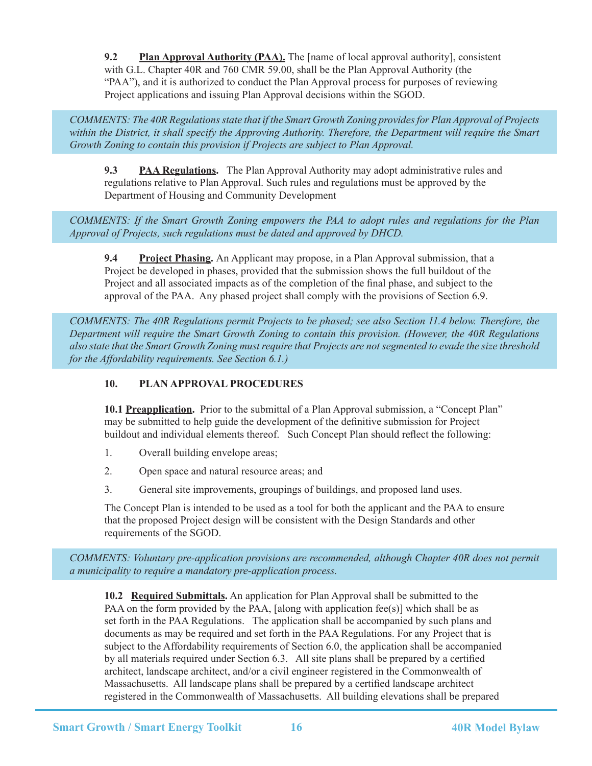**9.2** Plan Approval Authority (PAA). The [name of local approval authority], consistent with G.L. Chapter 40R and 760 CMR 59.00, shall be the Plan Approval Authority (the "PAA"), and it is authorized to conduct the Plan Approval process for purposes of reviewing Project applications and issuing Plan Approval decisions within the SGOD.

*COMMENTS: The 40R Regulations state that if the Smart Growth Zoning provides for Plan Approval of Projects within the District, it shall specify the Approving Authority. Therefore, the Department will require the Smart Growth Zoning to contain this provision if Projects are subject to Plan Approval.*

**9.3 PAA Regulations.** The Plan Approval Authority may adopt administrative rules and regulations relative to Plan Approval. Such rules and regulations must be approved by the Department of Housing and Community Development

*COMMENTS: If the Smart Growth Zoning empowers the PAA to adopt rules and regulations for the Plan Approval of Projects, such regulations must be dated and approved by DHCD.*

**9.4** Project Phasing. An Applicant may propose, in a Plan Approval submission, that a Project be developed in phases, provided that the submission shows the full buildout of the Project and all associated impacts as of the completion of the final phase, and subject to the approval of the PAA. Any phased project shall comply with the provisions of Section 6.9.

*COMMENTS: The 40R Regulations permit Projects to be phased; see also Section 11.4 below. Therefore, the Department will require the Smart Growth Zoning to contain this provision. (However, the 40R Regulations also state that the Smart Growth Zoning must require that Projects are not segmented to evade the size threshold for the Affordability requirements. See Section 6.1.)*

# **10. PLAN APPROVAL PROCEDURES**

10.1 **Preapplication.** Prior to the submittal of a Plan Approval submission, a "Concept Plan" may be submitted to help guide the development of the definitive submission for Project buildout and individual elements thereof. Such Concept Plan should reflect the following:

- 1. Overall building envelope areas;
- 2. Open space and natural resource areas; and
- 3. General site improvements, groupings of buildings, and proposed land uses.

The Concept Plan is intended to be used as a tool for both the applicant and the PAA to ensure that the proposed Project design will be consistent with the Design Standards and other requirements of the SGOD.

*COMMENTS: Voluntary pre-application provisions are recommended, although Chapter 40R does not permit a municipality to require a mandatory pre-application process.*

**10.2 Required Submittals.** An application for Plan Approval shall be submitted to the PAA on the form provided by the PAA, [along with application fee(s)] which shall be as set forth in the PAA Regulations. The application shall be accompanied by such plans and documents as may be required and set forth in the PAA Regulations. For any Project that is subject to the Affordability requirements of Section 6.0, the application shall be accompanied by all materials required under Section 6.3. All site plans shall be prepared by a certified architect, landscape architect, and/or a civil engineer registered in the Commonwealth of Massachusetts. All landscape plans shall be prepared by a certified landscape architect registered in the Commonwealth of Massachusetts. All building elevations shall be prepared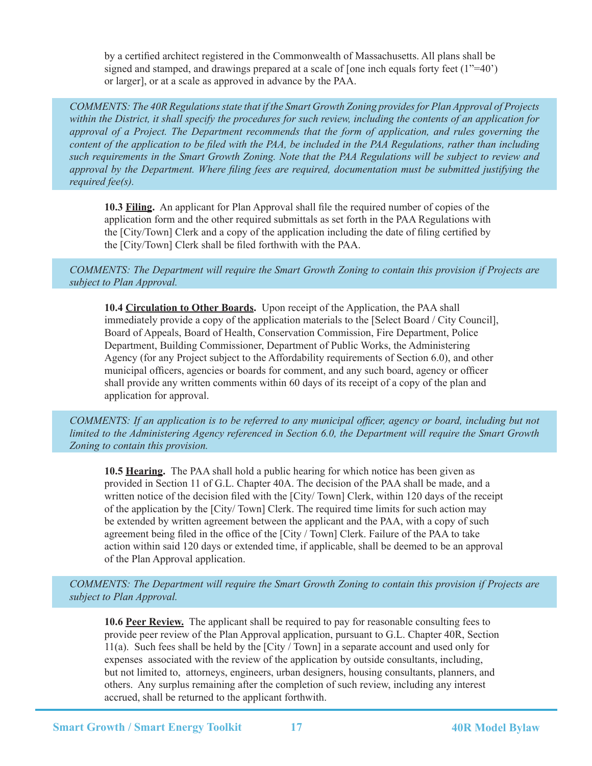by a certified architect registered in the Commonwealth of Massachusetts. All plans shall be signed and stamped, and drawings prepared at a scale of [one inch equals forty feet  $(1^{\prime\prime}=40^{\prime})$ ] or larger], or at a scale as approved in advance by the PAA.

*COMMENTS: The 40R Regulations state that if the Smart Growth Zoning provides for Plan Approval of Projects within the District, it shall specify the procedures for such review, including the contents of an application for approval of a Project. The Department recommends that the form of application, and rules governing the content of the application to be filed with the PAA, be included in the PAA Regulations, rather than including such requirements in the Smart Growth Zoning. Note that the PAA Regulations will be subject to review and approval by the Department. Where filing fees are required, documentation must be submitted justifying the required fee(s).*

**10.3 Filing.** An applicant for Plan Approval shall file the required number of copies of the application form and the other required submittals as set forth in the PAA Regulations with the [City/Town] Clerk and a copy of the application including the date of filing certified by the [City/Town] Clerk shall be filed forthwith with the PAA.

*COMMENTS: The Department will require the Smart Growth Zoning to contain this provision if Projects are subject to Plan Approval.*

**10.4 Circulation to Other Boards.** Upon receipt of the Application, the PAA shall immediately provide a copy of the application materials to the [Select Board / City Council], Board of Appeals, Board of Health, Conservation Commission, Fire Department, Police Department, Building Commissioner, Department of Public Works, the Administering Agency (for any Project subject to the Affordability requirements of Section 6.0), and other municipal officers, agencies or boards for comment, and any such board, agency or officer shall provide any written comments within 60 days of its receipt of a copy of the plan and application for approval.

*COMMENTS: If an application is to be referred to any municipal officer, agency or board, including but not limited to the Administering Agency referenced in Section 6.0, the Department will require the Smart Growth Zoning to contain this provision.*

**10.5 Hearing.** The PAA shall hold a public hearing for which notice has been given as provided in Section 11 of G.L. Chapter 40A. The decision of the PAA shall be made, and a written notice of the decision filed with the [City/ Town] Clerk, within 120 days of the receipt of the application by the [City/ Town] Clerk. The required time limits for such action may be extended by written agreement between the applicant and the PAA, with a copy of such agreement being filed in the office of the [City / Town] Clerk. Failure of the PAA to take action within said 120 days or extended time, if applicable, shall be deemed to be an approval of the Plan Approval application.

*COMMENTS: The Department will require the Smart Growth Zoning to contain this provision if Projects are subject to Plan Approval.*

**10.6 Peer Review.** The applicant shall be required to pay for reasonable consulting fees to provide peer review of the Plan Approval application, pursuant to G.L. Chapter 40R, Section 11(a). Such fees shall be held by the [City / Town] in a separate account and used only for expenses associated with the review of the application by outside consultants, including, but not limited to, attorneys, engineers, urban designers, housing consultants, planners, and others. Any surplus remaining after the completion of such review, including any interest accrued, shall be returned to the applicant forthwith.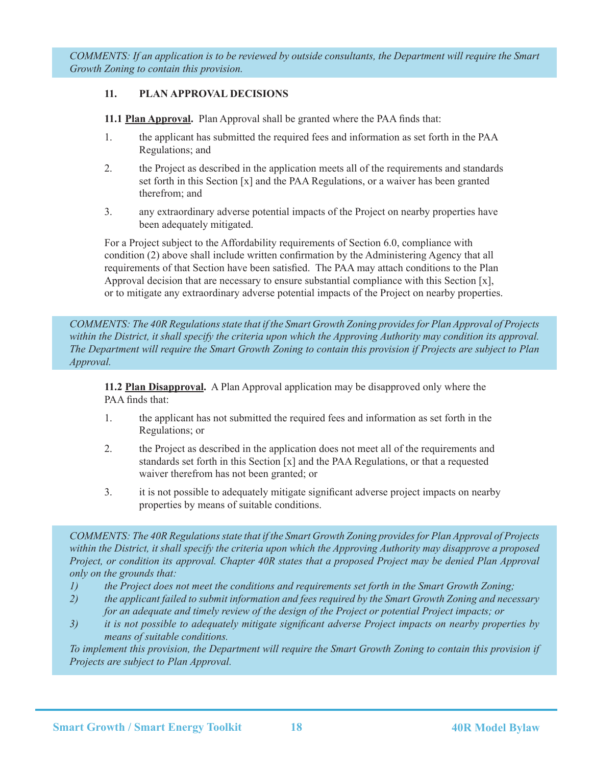*COMMENTS: If an application is to be reviewed by outside consultants, the Department will require the Smart Growth Zoning to contain this provision.*

#### **11. PLAN APPROVAL DECISIONS**

**11.1 Plan Approval.** Plan Approval shall be granted where the PAA finds that:

- 1. the applicant has submitted the required fees and information as set forth in the PAA Regulations; and
- 2. the Project as described in the application meets all of the requirements and standards set forth in this Section [x] and the PAA Regulations, or a waiver has been granted therefrom; and
- 3. any extraordinary adverse potential impacts of the Project on nearby properties have been adequately mitigated.

For a Project subject to the Affordability requirements of Section 6.0, compliance with condition (2) above shall include written confirmation by the Administering Agency that all requirements of that Section have been satisfied. The PAA may attach conditions to the Plan Approval decision that are necessary to ensure substantial compliance with this Section [x], or to mitigate any extraordinary adverse potential impacts of the Project on nearby properties.

*COMMENTS: The 40R Regulations state that if the Smart Growth Zoning provides for Plan Approval of Projects*  within the District, it shall specify the criteria upon which the Approving Authority may condition its approval. *The Department will require the Smart Growth Zoning to contain this provision if Projects are subject to Plan Approval.*

**11.2 Plan Disapproval.** A Plan Approval application may be disapproved only where the PAA finds that:

- 1. the applicant has not submitted the required fees and information as set forth in the Regulations; or
- 2. the Project as described in the application does not meet all of the requirements and standards set forth in this Section [x] and the PAA Regulations, or that a requested waiver therefrom has not been granted; or
- 3. it is not possible to adequately mitigate significant adverse project impacts on nearby properties by means of suitable conditions.

*COMMENTS: The 40R Regulations state that if the Smart Growth Zoning provides for Plan Approval of Projects within the District, it shall specify the criteria upon which the Approving Authority may disapprove a proposed Project, or condition its approval. Chapter 40R states that a proposed Project may be denied Plan Approval only on the grounds that:*

- *1) the Project does not meet the conditions and requirements set forth in the Smart Growth Zoning;*
- *2) the applicant failed to submit information and fees required by the Smart Growth Zoning and necessary for an adequate and timely review of the design of the Project or potential Project impacts; or*
- *3) it is not possible to adequately mitigate significant adverse Project impacts on nearby properties by means of suitable conditions.*

*To implement this provision, the Department will require the Smart Growth Zoning to contain this provision if Projects are subject to Plan Approval.*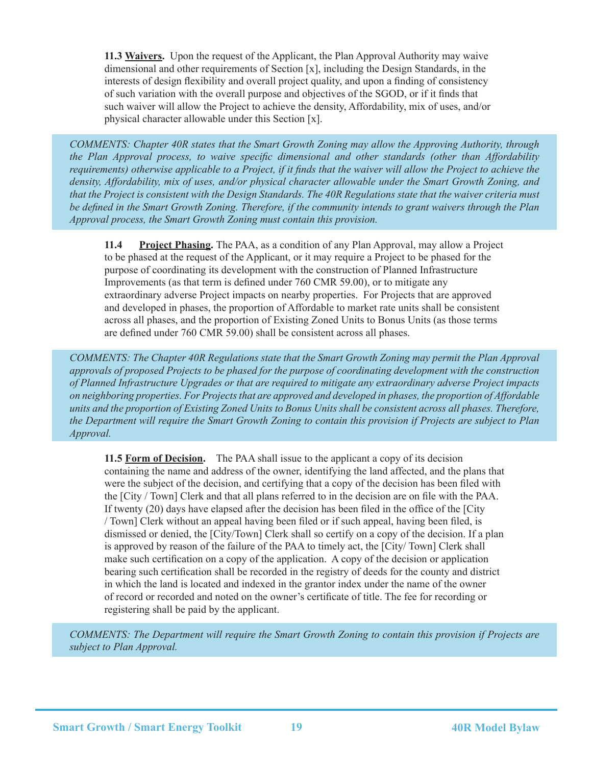**11.3 Waivers.** Upon the request of the Applicant, the Plan Approval Authority may waive dimensional and other requirements of Section [x], including the Design Standards, in the interests of design flexibility and overall project quality, and upon a finding of consistency of such variation with the overall purpose and objectives of the SGOD, or if it finds that such waiver will allow the Project to achieve the density, Affordability, mix of uses, and/or physical character allowable under this Section [x].

*COMMENTS: Chapter 40R states that the Smart Growth Zoning may allow the Approving Authority, through the Plan Approval process, to waive specific dimensional and other standards (other than Affordability requirements*) otherwise applicable to a Project, if it finds that the waiver will allow the Project to achieve the *density, Affordability, mix of uses, and/or physical character allowable under the Smart Growth Zoning, and that the Project is consistent with the Design Standards. The 40R Regulations state that the waiver criteria must be defined in the Smart Growth Zoning. Therefore, if the community intends to grant waivers through the Plan Approval process, the Smart Growth Zoning must contain this provision.*

**11.4 Project Phasing.** The PAA, as a condition of any Plan Approval, may allow a Project to be phased at the request of the Applicant, or it may require a Project to be phased for the purpose of coordinating its development with the construction of Planned Infrastructure Improvements (as that term is defined under 760 CMR 59.00), or to mitigate any extraordinary adverse Project impacts on nearby properties. For Projects that are approved and developed in phases, the proportion of Affordable to market rate units shall be consistent across all phases, and the proportion of Existing Zoned Units to Bonus Units (as those terms are defined under 760 CMR 59.00) shall be consistent across all phases.

*COMMENTS: The Chapter 40R Regulations state that the Smart Growth Zoning may permit the Plan Approval approvals of proposed Projects to be phased for the purpose of coordinating development with the construction of Planned Infrastructure Upgrades or that are required to mitigate any extraordinary adverse Project impacts on neighboring properties. For Projects that are approved and developed in phases, the proportion of Affordable units and the proportion of Existing Zoned Units to Bonus Units shall be consistent across all phases. Therefore, the Department will require the Smart Growth Zoning to contain this provision if Projects are subject to Plan Approval.*

**11.5 Form of Decision.** The PAA shall issue to the applicant a copy of its decision containing the name and address of the owner, identifying the land affected, and the plans that were the subject of the decision, and certifying that a copy of the decision has been filed with the [City / Town] Clerk and that all plans referred to in the decision are on file with the PAA. If twenty (20) days have elapsed after the decision has been filed in the office of the [City / Town] Clerk without an appeal having been filed or if such appeal, having been filed, is dismissed or denied, the [City/Town] Clerk shall so certify on a copy of the decision. If a plan is approved by reason of the failure of the PAA to timely act, the [City/ Town] Clerk shall make such certification on a copy of the application. A copy of the decision or application bearing such certification shall be recorded in the registry of deeds for the county and district in which the land is located and indexed in the grantor index under the name of the owner of record or recorded and noted on the owner's certificate of title. The fee for recording or registering shall be paid by the applicant.

*COMMENTS: The Department will require the Smart Growth Zoning to contain this provision if Projects are subject to Plan Approval.*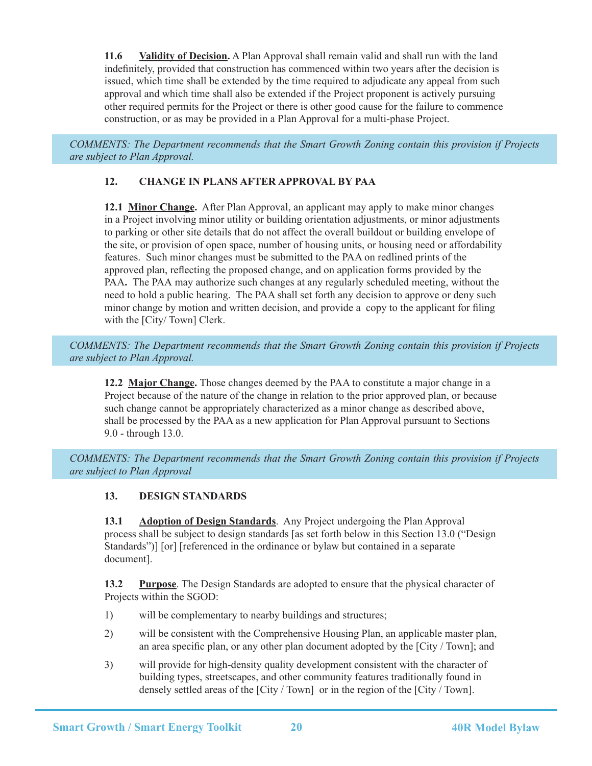**11.6 Validity of Decision.** A Plan Approval shall remain valid and shall run with the land indefinitely, provided that construction has commenced within two years after the decision is issued, which time shall be extended by the time required to adjudicate any appeal from such approval and which time shall also be extended if the Project proponent is actively pursuing other required permits for the Project or there is other good cause for the failure to commence construction, or as may be provided in a Plan Approval for a multi-phase Project.

*COMMENTS: The Department recommends that the Smart Growth Zoning contain this provision if Projects are subject to Plan Approval.*

# **12. CHANGE IN PLANS AFTER APPROVAL BY PAA**

**12.1 Minor Change.** After Plan Approval, an applicant may apply to make minor changes in a Project involving minor utility or building orientation adjustments, or minor adjustments to parking or other site details that do not affect the overall buildout or building envelope of the site, or provision of open space, number of housing units, or housing need or affordability features. Such minor changes must be submitted to the PAA on redlined prints of the approved plan, reflecting the proposed change, and on application forms provided by the PAA. The PAA may authorize such changes at any regularly scheduled meeting, without the need to hold a public hearing. The PAA shall set forth any decision to approve or deny such minor change by motion and written decision, and provide a copy to the applicant for filing with the [City/ Town] Clerk.

*COMMENTS: The Department recommends that the Smart Growth Zoning contain this provision if Projects are subject to Plan Approval.*

**12.2 Major Change.** Those changes deemed by the PAA to constitute a major change in a Project because of the nature of the change in relation to the prior approved plan, or because such change cannot be appropriately characterized as a minor change as described above, shall be processed by the PAA as a new application for Plan Approval pursuant to Sections 9.0 - through 13.0.

*COMMENTS: The Department recommends that the Smart Growth Zoning contain this provision if Projects are subject to Plan Approval*

# **13. DESIGN STANDARDS**

**13.1** Adoption of Design Standards. Any Project undergoing the Plan Approval process shall be subject to design standards [as set forth below in this Section 13.0 ("Design Standards")] [or] [referenced in the ordinance or bylaw but contained in a separate document].

**13.2** Purpose. The Design Standards are adopted to ensure that the physical character of Projects within the SGOD:

- 1) will be complementary to nearby buildings and structures;
- 2) will be consistent with the Comprehensive Housing Plan, an applicable master plan, an area specific plan, or any other plan document adopted by the [City / Town]; and
- 3) will provide for high-density quality development consistent with the character of building types, streetscapes, and other community features traditionally found in densely settled areas of the [City / Town] or in the region of the [City / Town].